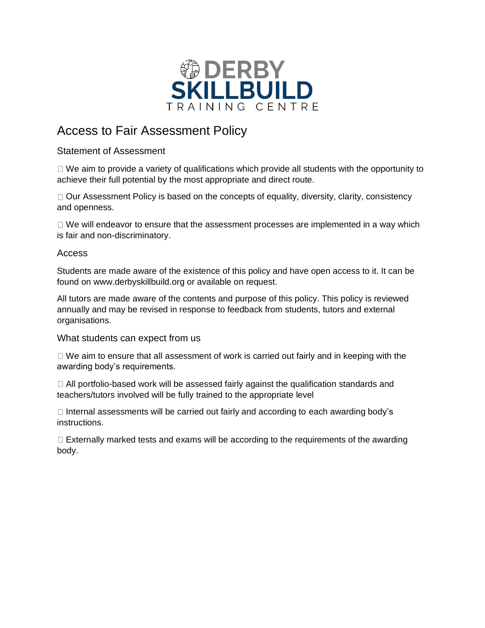

# Access to Fair Assessment Policy

## Statement of Assessment

 $\Box$  We aim to provide a variety of qualifications which provide all students with the opportunity to achieve their full potential by the most appropriate and direct route.

 $\Box$  Our Assessment Policy is based on the concepts of equality, diversity, clarity, consistency and openness.

 $\Box$  We will endeavor to ensure that the assessment processes are implemented in a way which is fair and non-discriminatory.

### Access

Students are made aware of the existence of this policy and have open access to it. It can be found on www.derbyskillbuild.org or available on request.

All tutors are made aware of the contents and purpose of this policy. This policy is reviewed annually and may be revised in response to feedback from students, tutors and external organisations.

What students can expect from us

 $\Box$  We aim to ensure that all assessment of work is carried out fairly and in keeping with the awarding body's requirements.

 $\Box$  All portfolio-based work will be assessed fairly against the qualification standards and teachers/tutors involved will be fully trained to the appropriate level

 $\Box$  Internal assessments will be carried out fairly and according to each awarding body's instructions.

 $\Box$  Externally marked tests and exams will be according to the requirements of the awarding body.